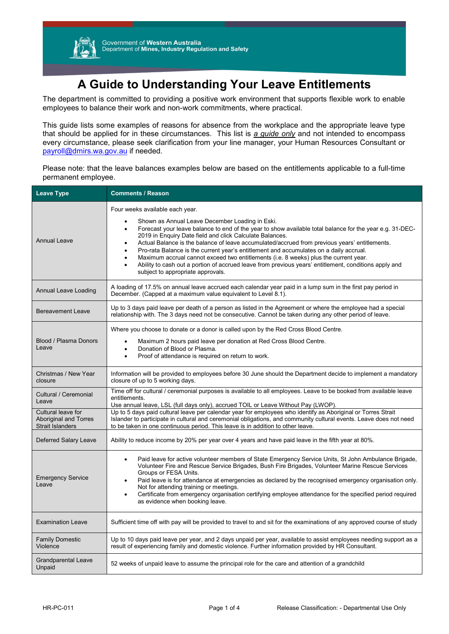

## **A Guide to Understanding Your Leave Entitlements**

The department is committed to providing a positive work environment that supports flexible work to enable employees to balance their work and non-work commitments, where practical.

This guide lists some examples of reasons for absence from the workplace and the appropriate leave type that should be applied for in these circumstances. This list is *a guide only* and not intended to encompass every circumstance, please seek clarification from your line manager, your Human Resources Consultant or [payroll@dmirs.wa.gov.au](mailto:payroll@dmirs.wa.gov.au) if needed.

Please note: that the leave balances examples below are based on the entitlements applicable to a full-time permanent employee.

| <b>Leave Type</b>                                                             | <b>Comments / Reason</b>                                                                                                                                                                                                                                                                                                                                                                                                                                                                                                                                                                                                                                                                                                                                                  |
|-------------------------------------------------------------------------------|---------------------------------------------------------------------------------------------------------------------------------------------------------------------------------------------------------------------------------------------------------------------------------------------------------------------------------------------------------------------------------------------------------------------------------------------------------------------------------------------------------------------------------------------------------------------------------------------------------------------------------------------------------------------------------------------------------------------------------------------------------------------------|
| <b>Annual Leave</b>                                                           | Four weeks available each year.<br>Shown as Annual Leave December Loading in Eski.<br>$\bullet$<br>Forecast your leave balance to end of the year to show available total balance for the year e.g. 31-DEC-<br>$\bullet$<br>2019 in Enquiry Date field and click Calculate Balances.<br>Actual Balance is the balance of leave accumulated/accrued from previous years' entitlements.<br>$\bullet$<br>Pro-rata Balance is the current year's entitlement and accumulates on a daily accrual.<br>$\bullet$<br>Maximum accrual cannot exceed two entitlements (i.e. 8 weeks) plus the current year.<br>$\bullet$<br>Ability to cash out a portion of accrued leave from previous years' entitlement, conditions apply and<br>$\bullet$<br>subject to appropriate approvals. |
| Annual Leave Loading                                                          | A loading of 17.5% on annual leave accrued each calendar year paid in a lump sum in the first pay period in<br>December. (Capped at a maximum value equivalent to Level 8.1).                                                                                                                                                                                                                                                                                                                                                                                                                                                                                                                                                                                             |
| <b>Bereavement Leave</b>                                                      | Up to 3 days paid leave per death of a person as listed in the Agreement or where the employee had a special<br>relationship with. The 3 days need not be consecutive. Cannot be taken during any other period of leave.                                                                                                                                                                                                                                                                                                                                                                                                                                                                                                                                                  |
| Blood / Plasma Donors<br>Leave                                                | Where you choose to donate or a donor is called upon by the Red Cross Blood Centre.<br>Maximum 2 hours paid leave per donation at Red Cross Blood Centre.<br>Donation of Blood or Plasma.<br>$\bullet$<br>Proof of attendance is required on return to work.<br>$\bullet$                                                                                                                                                                                                                                                                                                                                                                                                                                                                                                 |
| Christmas / New Year<br>closure                                               | Information will be provided to employees before 30 June should the Department decide to implement a mandatory<br>closure of up to 5 working days.                                                                                                                                                                                                                                                                                                                                                                                                                                                                                                                                                                                                                        |
| Cultural / Ceremonial<br>Leave                                                | Time off for cultural / ceremonial purposes is available to all employees. Leave to be booked from available leave<br>entitlements.<br>Use annual leave, LSL (full days only), accrued TOIL or Leave Without Pay (LWOP).                                                                                                                                                                                                                                                                                                                                                                                                                                                                                                                                                  |
| Cultural leave for<br><b>Aboriginal and Torres</b><br><b>Strait Islanders</b> | Up to 5 days paid cultural leave per calendar year for employees who identify as Aboriginal or Torres Strait<br>Islander to participate in cultural and ceremonial obligations, and community cultural events. Leave does not need<br>to be taken in one continuous period. This leave is in addition to other leave.                                                                                                                                                                                                                                                                                                                                                                                                                                                     |
| Deferred Salary Leave                                                         | Ability to reduce income by 20% per year over 4 years and have paid leave in the fifth year at 80%.                                                                                                                                                                                                                                                                                                                                                                                                                                                                                                                                                                                                                                                                       |
| <b>Emergency Service</b><br>Leave                                             | Paid leave for active volunteer members of State Emergency Service Units, St John Ambulance Brigade,<br>Volunteer Fire and Rescue Service Brigades, Bush Fire Brigades, Volunteer Marine Rescue Services<br>Groups or FESA Units.<br>Paid leave is for attendance at emergencies as declared by the recognised emergency organisation only.<br>$\bullet$<br>Not for attending training or meetings.<br>Certificate from emergency organisation certifying employee attendance for the specified period required<br>as evidence when booking leave.                                                                                                                                                                                                                        |
| <b>Examination Leave</b>                                                      | Sufficient time off with pay will be provided to travel to and sit for the examinations of any approved course of study                                                                                                                                                                                                                                                                                                                                                                                                                                                                                                                                                                                                                                                   |
| <b>Family Domestic</b><br>Violence                                            | Up to 10 days paid leave per year, and 2 days unpaid per year, available to assist employees needing support as a<br>result of experiencing family and domestic violence. Further information provided by HR Consultant.                                                                                                                                                                                                                                                                                                                                                                                                                                                                                                                                                  |
| <b>Grandparental Leave</b><br>Unpaid                                          | 52 weeks of unpaid leave to assume the principal role for the care and attention of a grandchild                                                                                                                                                                                                                                                                                                                                                                                                                                                                                                                                                                                                                                                                          |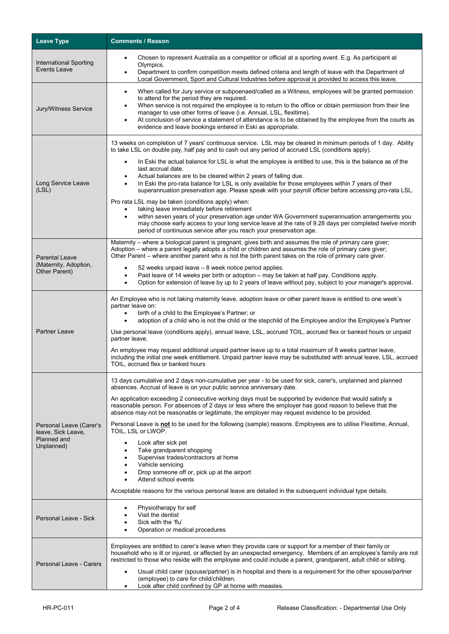| <b>Leave Type</b>                                                          | <b>Comments / Reason</b>                                                                                                                                                                                                                                                                                                                                                                                                                                                                                                                                                                                                                                                                                                                                                                                                                                                                                                                                                                                                                                                               |
|----------------------------------------------------------------------------|----------------------------------------------------------------------------------------------------------------------------------------------------------------------------------------------------------------------------------------------------------------------------------------------------------------------------------------------------------------------------------------------------------------------------------------------------------------------------------------------------------------------------------------------------------------------------------------------------------------------------------------------------------------------------------------------------------------------------------------------------------------------------------------------------------------------------------------------------------------------------------------------------------------------------------------------------------------------------------------------------------------------------------------------------------------------------------------|
| <b>International Sporting</b><br>Events Leave                              | Chosen to represent Australia as a competitor or official at a sporting event. E.g. As participant at<br>Olympics.<br>Department to confirm competition meets defined criteria and length of leave with the Department of<br>٠<br>Local Government, Sport and Cultural Industries before approval is provided to access this leave.                                                                                                                                                                                                                                                                                                                                                                                                                                                                                                                                                                                                                                                                                                                                                    |
| Jury/Witness Service                                                       | When called for Jury service or subpoenaed/called as a Witness, employees will be granted permission<br>$\bullet$<br>to attend for the period they are required.<br>When service is not required the employee is to return to the office or obtain permission from their line<br>$\bullet$<br>manager to use other forms of leave (i.e. Annual, LSL, flexitime).<br>At conclusion of service a statement of attendance is to be obtained by the employee from the courts as<br>$\bullet$<br>evidence and leave bookings entered in Eski as appropriate.                                                                                                                                                                                                                                                                                                                                                                                                                                                                                                                                |
| Long Service Leave<br>(LSL)                                                | 13 weeks on completion of 7 years' continuous service. LSL may be cleared in minimum periods of 1 day. Ability<br>to take LSL on double pay, half pay and to cash out any period of accrued LSL (conditions apply).<br>In Eski the actual balance for LSL is what the employee is entitled to use, this is the balance as of the<br>$\bullet$<br>last accrual date.<br>Actual balances are to be cleared within 2 years of falling due.<br>$\bullet$<br>In Eski the pro-rata balance for LSL is only available for those employees within 7 years of their<br>superannuation preservation age. Please speak with your payroll officer before accessing pro-rata LSL.<br>Pro rata LSL may be taken (conditions apply) when:<br>taking leave immediately before retirement<br>$\bullet$<br>within seven years of your preservation age under WA Government superannuation arrangements you<br>$\bullet$<br>may choose early access to your long service leave at the rate of 9.28 days per completed twelve month<br>period of continuous service after you reach your preservation age. |
| <b>Parental Leave</b><br>(Maternity, Adoption,<br>Other Parent)            | Maternity – where a biological parent is pregnant, gives birth and assumes the role of primary care giver;<br>Adoption – where a parent legally adopts a child or children and assumes the role of primary care giver;<br>Other Parent – where another parent who is not the birth parent takes on the role of primary care giver.<br>52 weeks unpaid leave - 8 week notice period applies.<br>$\bullet$<br>Paid leave of 14 weeks per birth or adoption – may be taken at half pay. Conditions apply.<br>$\bullet$<br>Option for extension of leave by up to 2 years of leave without pay, subject to your manager's approval.<br>$\bullet$                                                                                                                                                                                                                                                                                                                                                                                                                                           |
| <b>Partner Leave</b>                                                       | An Employee who is not taking maternity leave, adoption leave or other parent leave is entitled to one week's<br>partner leave on:<br>birth of a child to the Employee's Partner; or<br>$\bullet$<br>adoption of a child who is not the child or the stepchild of the Employee and/or the Employee's Partner<br>Use personal leave (conditions apply), annual leave, LSL, accrued TOIL, accrued flex or banked hours or unpaid<br>partner leave.<br>An employee may request additional unpaid partner leave up to a total maximum of 8 weeks partner leave,<br>including the initial one week entitlement. Unpaid partner leave may be substituted with annual leave, LSL, accrued<br>TOIL, accrued flex or banked hours                                                                                                                                                                                                                                                                                                                                                               |
| Personal Leave (Carer's<br>leave, Sick Leave,<br>Planned and<br>Unplanned) | 13 days cumulative and 2 days non-cumulative per year - to be used for sick, carer's, unplanned and planned<br>absences. Accrual of leave is on your public service anniversary date.<br>An application exceeding 2 consecutive working days must be supported by evidence that would satisfy a<br>reasonable person. For absences of 2 days or less where the employer has good reason to believe that the<br>absence may not be reasonable or legitimate, the employer may request evidence to be provided.<br>Personal Leave is not to be used for the following (sample) reasons. Employees are to utilise Flexitime, Annual,<br>TOIL, LSL or LWOP.<br>Look after sick pet<br>Take grandparent shopping<br>Supervise trades/contractors at home<br>٠<br>Vehicle servicing<br>$\bullet$<br>Drop someone off or, pick up at the airport<br>Attend school events<br>Acceptable reasons for the various personal leave are detailed in the subsequent individual type details.                                                                                                         |
| Personal Leave - Sick                                                      | Physiotherapy for self<br>Visit the dentist<br>Sick with the 'flu'<br>Operation or medical procedures                                                                                                                                                                                                                                                                                                                                                                                                                                                                                                                                                                                                                                                                                                                                                                                                                                                                                                                                                                                  |
| Personal Leave - Carers                                                    | Employees are entitled to carer's leave when they provide care or support for a member of their family or<br>household who is ill or injured, or affected by an unexpected emergency. Members of an employee's family are not<br>restricted to those who reside with the employee and could include a parent, grandparent, adult child or sibling.<br>Usual child carer (spouse/partner) is in hospital and there is a requirement for the other spouse/partner<br>(employee) to care for child/children.<br>Look after child confined by GP at home with measles.                                                                                                                                                                                                                                                                                                                                                                                                                                                                                                                     |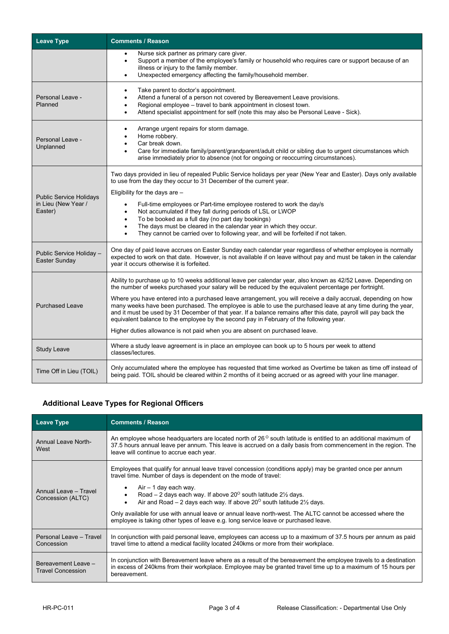| <b>Leave Type</b>                                                | <b>Comments / Reason</b>                                                                                                                                                                                                                                                                                                                                                                                                                                                                                                                                                                                                                                                                                                                               |
|------------------------------------------------------------------|--------------------------------------------------------------------------------------------------------------------------------------------------------------------------------------------------------------------------------------------------------------------------------------------------------------------------------------------------------------------------------------------------------------------------------------------------------------------------------------------------------------------------------------------------------------------------------------------------------------------------------------------------------------------------------------------------------------------------------------------------------|
|                                                                  | Nurse sick partner as primary care giver.<br>$\bullet$<br>Support a member of the employee's family or household who requires care or support because of an<br>$\bullet$<br>illness or injury to the family member.<br>Unexpected emergency affecting the family/household member.<br>٠                                                                                                                                                                                                                                                                                                                                                                                                                                                                |
| Personal Leave -<br>Planned                                      | Take parent to doctor's appointment.<br>٠<br>Attend a funeral of a person not covered by Bereavement Leave provisions.<br>$\bullet$<br>Regional employee - travel to bank appointment in closest town.<br>$\bullet$<br>Attend specialist appointment for self (note this may also be Personal Leave - Sick).<br>$\bullet$                                                                                                                                                                                                                                                                                                                                                                                                                              |
| Personal Leave -<br>Unplanned                                    | Arrange urgent repairs for storm damage.<br>٠<br>Home robbery.<br>$\bullet$<br>Car break down.<br>$\bullet$<br>Care for immediate family/parent/grandparent/adult child or sibling due to urgent circumstances which<br>$\bullet$<br>arise immediately prior to absence (not for ongoing or reoccurring circumstances).                                                                                                                                                                                                                                                                                                                                                                                                                                |
| <b>Public Service Holidays</b><br>in Lieu (New Year /<br>Easter) | Two days provided in lieu of repealed Public Service holidays per year (New Year and Easter). Days only available<br>to use from the day they occur to 31 December of the current year.<br>Eligibility for the days are $-$<br>Full-time employees or Part-time employee rostered to work the day/s<br>٠<br>Not accumulated if they fall during periods of LSL or LWOP<br>$\bullet$<br>To be booked as a full day (no part day bookings)<br>$\bullet$<br>The days must be cleared in the calendar year in which they occur.<br>$\bullet$<br>They cannot be carried over to following year, and will be forfeited if not taken.<br>$\bullet$                                                                                                            |
| Public Service Holiday -<br>Easter Sunday                        | One day of paid leave accrues on Easter Sunday each calendar year regardless of whether employee is normally<br>expected to work on that date. However, is not available if on leave without pay and must be taken in the calendar<br>year it occurs otherwise it is forfeited.                                                                                                                                                                                                                                                                                                                                                                                                                                                                        |
| <b>Purchased Leave</b>                                           | Ability to purchase up to 10 weeks additional leave per calendar year, also known as 42/52 Leave. Depending on<br>the number of weeks purchased your salary will be reduced by the equivalent percentage per fortnight.<br>Where you have entered into a purchased leave arrangement, you will receive a daily accrual, depending on how<br>many weeks have been purchased. The employee is able to use the purchased leave at any time during the year,<br>and it must be used by 31 December of that year. If a balance remains after this date, payroll will pay back the<br>equivalent balance to the employee by the second pay in February of the following year.<br>Higher duties allowance is not paid when you are absent on purchased leave. |
| <b>Study Leave</b>                                               | Where a study leave agreement is in place an employee can book up to 5 hours per week to attend<br>classes/lectures.                                                                                                                                                                                                                                                                                                                                                                                                                                                                                                                                                                                                                                   |
| Time Off in Lieu (TOIL)                                          | Only accumulated where the employee has requested that time worked as Overtime be taken as time off instead of<br>being paid. TOIL should be cleared within 2 months of it being accrued or as agreed with your line manager.                                                                                                                                                                                                                                                                                                                                                                                                                                                                                                                          |

## **Additional Leave Types for Regional Officers**

| Leave Type                                      | <b>Comments / Reason</b>                                                                                                                                                                                                                                                                                                                                                                                                                                                                                                                                                                         |
|-------------------------------------------------|--------------------------------------------------------------------------------------------------------------------------------------------------------------------------------------------------------------------------------------------------------------------------------------------------------------------------------------------------------------------------------------------------------------------------------------------------------------------------------------------------------------------------------------------------------------------------------------------------|
| Annual Leave North-<br>West                     | An employee whose headquarters are located north of $26^{\circ}$ south latitude is entitled to an additional maximum of<br>37.5 hours annual leave per annum. This leave is accrued on a daily basis from commencement in the region. The<br>leave will continue to accrue each year.                                                                                                                                                                                                                                                                                                            |
| Annual Leave - Travel<br>Concession (ALTC)      | Employees that qualify for annual leave travel concession (conditions apply) may be granted once per annum<br>travel time. Number of days is dependent on the mode of travel:<br>Air – 1 day each way.<br>Road – 2 days each way. If above $20^{\circ}$ south latitude $2\frac{1}{2}$ days.<br>Air and Road – 2 days each way. If above 20 <sup>o</sup> south latitude $2\frac{1}{2}$ days.<br>Only available for use with annual leave or annual leave north-west. The ALTC cannot be accessed where the<br>employee is taking other types of leave e.g. long service leave or purchased leave. |
| Personal Leave - Travel<br>Concession           | In conjunction with paid personal leave, employees can access up to a maximum of 37.5 hours per annum as paid<br>travel time to attend a medical facility located 240kms or more from their workplace.                                                                                                                                                                                                                                                                                                                                                                                           |
| Bereavement Leave -<br><b>Travel Concession</b> | In conjunction with Bereavement leave where as a result of the bereavement the employee travels to a destination<br>in excess of 240kms from their workplace. Employee may be granted travel time up to a maximum of 15 hours per<br>bereavement.                                                                                                                                                                                                                                                                                                                                                |